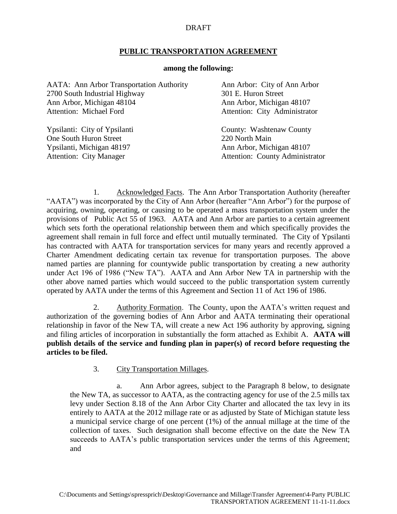## DRAFT

## **PUBLIC TRANSPORTATION AGREEMENT**

## **among the following:**

| <b>AATA:</b> Ann Arbor Transportation Authority | Ann Arbor: City of Ann Arbor           |
|-------------------------------------------------|----------------------------------------|
| 2700 South Industrial Highway                   | 301 E. Huron Street                    |
| Ann Arbor, Michigan 48104                       | Ann Arbor, Michigan 48107              |
| Attention: Michael Ford                         | Attention: City Administrator          |
| Ypsilanti: City of Ypsilanti                    | County: Washtenaw County               |
| One South Huron Street                          | 220 North Main                         |
| Ypsilanti, Michigan 48197                       | Ann Arbor, Michigan 48107              |
| <b>Attention: City Manager</b>                  | <b>Attention: County Administrator</b> |

1. Acknowledged Facts. The Ann Arbor Transportation Authority (hereafter "AATA") was incorporated by the City of Ann Arbor (hereafter "Ann Arbor") for the purpose of acquiring, owning, operating, or causing to be operated a mass transportation system under the provisions of Public Act 55 of 1963. AATA and Ann Arbor are parties to a certain agreement which sets forth the operational relationship between them and which specifically provides the agreement shall remain in full force and effect until mutually terminated. The City of Ypsilanti has contracted with AATA for transportation services for many years and recently approved a Charter Amendment dedicating certain tax revenue for transportation purposes. The above named parties are planning for countywide public transportation by creating a new authority under Act 196 of 1986 ("New TA"). AATA and Ann Arbor New TA in partnership with the other above named parties which would succeed to the public transportation system currently operated by AATA under the terms of this Agreement and Section 11 of Act 196 of 1986.

2. Authority Formation. The County, upon the AATA's written request and authorization of the governing bodies of Ann Arbor and AATA terminating their operational relationship in favor of the New TA, will create a new Act 196 authority by approving, signing and filing articles of incorporation in substantially the form attached as Exhibit A. **AATA will publish details of the service and funding plan in paper(s) of record before requesting the articles to be filed.**

3. City Transportation Millages.

a. Ann Arbor agrees, subject to the Paragraph 8 below, to designate the New TA, as successor to AATA, as the contracting agency for use of the 2.5 mills tax levy under Section 8.18 of the Ann Arbor City Charter and allocated the tax levy in its entirely to AATA at the 2012 millage rate or as adjusted by State of Michigan statute less a municipal service charge of one percent (1%) of the annual millage at the time of the collection of taxes. Such designation shall become effective on the date the New TA succeeds to AATA's public transportation services under the terms of this Agreement; and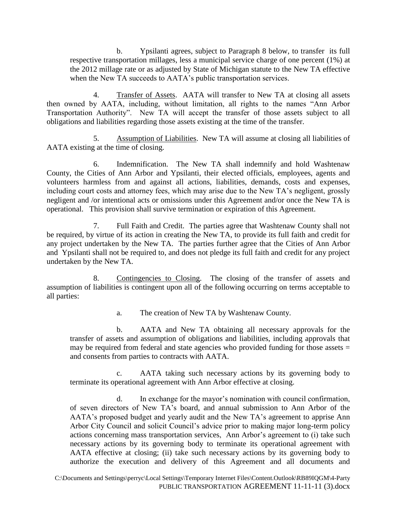b. Ypsilanti agrees, subject to Paragraph 8 below, to transfer its full respective transportation millages, less a municipal service charge of one percent (1%) at the 2012 millage rate or as adjusted by State of Michigan statute to the New TA effective when the New TA succeeds to AATA's public transportation services.

4. Transfer of Assets. AATA will transfer to New TA at closing all assets then owned by AATA, including, without limitation, all rights to the names "Ann Arbor Transportation Authority". New TA will accept the transfer of those assets subject to all obligations and liabilities regarding those assets existing at the time of the transfer.

5. Assumption of Liabilities. New TA will assume at closing all liabilities of AATA existing at the time of closing.

6. Indemnification. The New TA shall indemnify and hold Washtenaw County, the Cities of Ann Arbor and Ypsilanti, their elected officials, employees, agents and volunteers harmless from and against all actions, liabilities, demands, costs and expenses, including court costs and attorney fees, which may arise due to the New TA's negligent, grossly negligent and /or intentional acts or omissions under this Agreement and/or once the New TA is operational. This provision shall survive termination or expiration of this Agreement.

7. Full Faith and Credit. The parties agree that Washtenaw County shall not be required, by virtue of its action in creating the New TA, to provide its full faith and credit for any project undertaken by the New TA. The parties further agree that the Cities of Ann Arbor and Ypsilanti shall not be required to, and does not pledge its full faith and credit for any project undertaken by the New TA.

8. Contingencies to Closing. The closing of the transfer of assets and assumption of liabilities is contingent upon all of the following occurring on terms acceptable to all parties:

a. The creation of New TA by Washtenaw County.

b. AATA and New TA obtaining all necessary approvals for the transfer of assets and assumption of obligations and liabilities, including approvals that may be required from federal and state agencies who provided funding for those assets  $=$ and consents from parties to contracts with AATA.

c. AATA taking such necessary actions by its governing body to terminate its operational agreement with Ann Arbor effective at closing.

d. In exchange for the mayor's nomination with council confirmation, of seven directors of New TA's board, and annual submission to Ann Arbor of the AATA's proposed budget and yearly audit and the New TA's agreement to apprise Ann Arbor City Council and solicit Council's advice prior to making major long-term policy actions concerning mass transportation services, Ann Arbor's agreement to (i) take such necessary actions by its governing body to terminate its operational agreement with AATA effective at closing; (ii) take such necessary actions by its governing body to authorize the execution and delivery of this Agreement and all documents and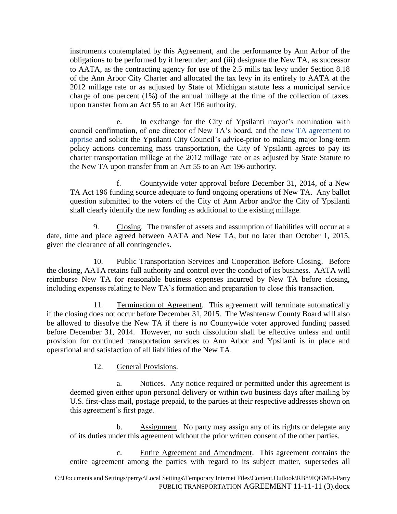instruments contemplated by this Agreement, and the performance by Ann Arbor of the obligations to be performed by it hereunder; and (iii) designate the New TA, as successor to AATA, as the contracting agency for use of the 2.5 mills tax levy under Section 8.18 of the Ann Arbor City Charter and allocated the tax levy in its entirely to AATA at the 2012 millage rate or as adjusted by State of Michigan statute less a municipal service charge of one percent (1%) of the annual millage at the time of the collection of taxes. upon transfer from an Act 55 to an Act 196 authority.

e. In exchange for the City of Ypsilanti mayor's nomination with council confirmation, of one director of New TA's board, and the new TA agreement to apprise and solicit the Ypsilanti City Council's advice prior to making major long-term policy actions concerning mass transportation, the City of Ypsilanti agrees to pay its charter transportation millage at the 2012 millage rate or as adjusted by State Statute to the New TA upon transfer from an Act 55 to an Act 196 authority.

f. Countywide voter approval before December 31, 2014, of a New TA Act 196 funding source adequate to fund ongoing operations of New TA. Any ballot question submitted to the voters of the City of Ann Arbor and/or the City of Ypsilanti shall clearly identify the new funding as additional to the existing millage.

9. Closing. The transfer of assets and assumption of liabilities will occur at a date, time and place agreed between AATA and New TA, but no later than October 1, 2015, given the clearance of all contingencies.

10. Public Transportation Services and Cooperation Before Closing. Before the closing, AATA retains full authority and control over the conduct of its business. AATA will reimburse New TA for reasonable business expenses incurred by New TA before closing, including expenses relating to New TA's formation and preparation to close this transaction.

11. Termination of Agreement. This agreement will terminate automatically if the closing does not occur before December 31, 2015. The Washtenaw County Board will also be allowed to dissolve the New TA if there is no Countywide voter approved funding passed before December 31, 2014. However, no such dissolution shall be effective unless and until provision for continued transportation services to Ann Arbor and Ypsilanti is in place and operational and satisfaction of all liabilities of the New TA.

12. General Provisions.

a. Notices. Any notice required or permitted under this agreement is deemed given either upon personal delivery or within two business days after mailing by U.S. first-class mail, postage prepaid, to the parties at their respective addresses shown on this agreement's first page.

b. Assignment. No party may assign any of its rights or delegate any of its duties under this agreement without the prior written consent of the other parties.

c. Entire Agreement and Amendment. This agreement contains the entire agreement among the parties with regard to its subject matter, supersedes all